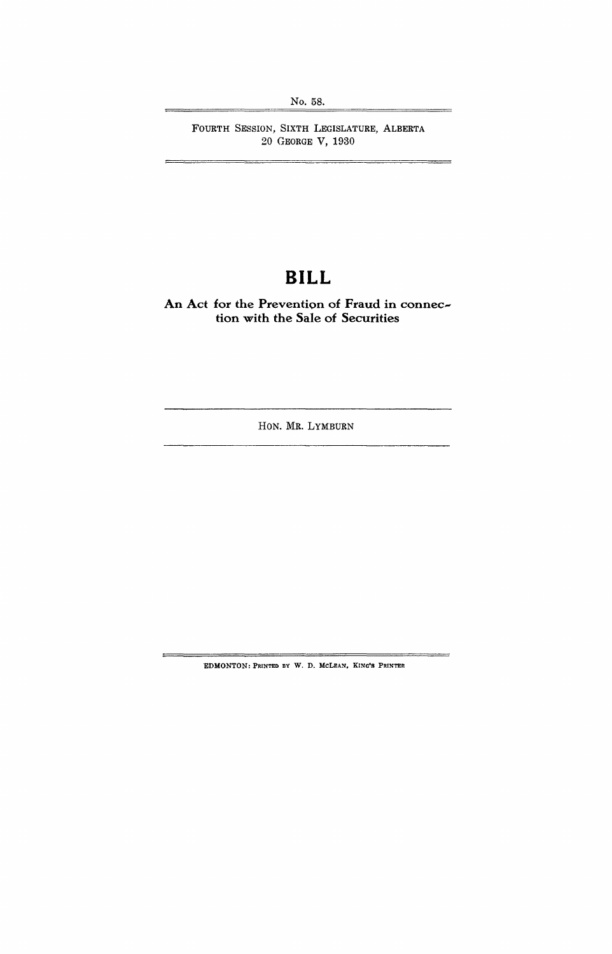FOURTH SESSION, SIXTH LEGISLATURE, ALBERTA 20 GEORGE V, 1930

# **BILL**

**An Act for the Prevention of Fraud in connection with the Sale of Securities** 

HON. MR. LYMBURN

'EDMONTON: PRINTED BY W. D. McLEAN, KING'S PRINTER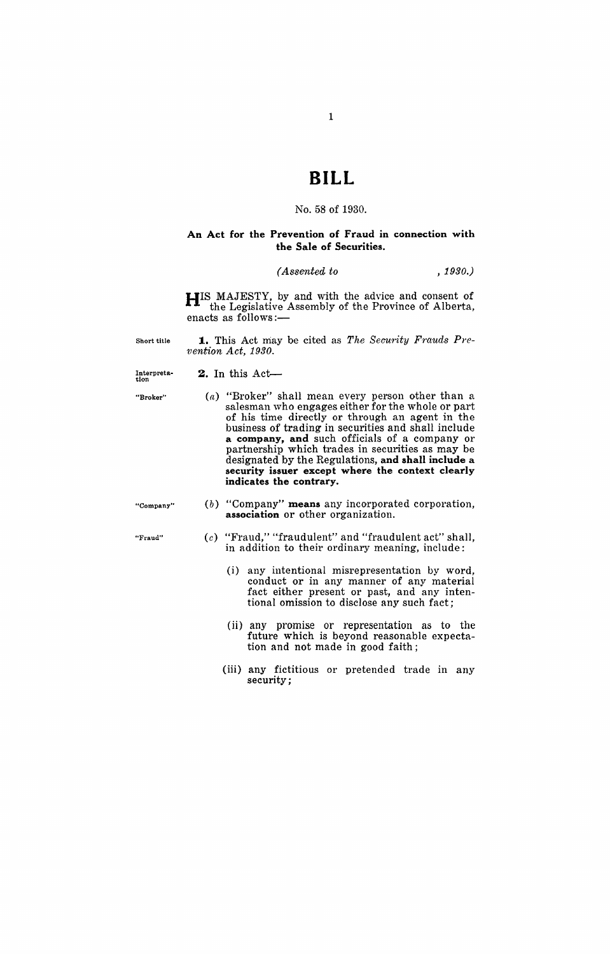## **BILL**

#### No. 58 of 1930.

## **An Act for the Prevention of Fraud in connection with the Sale of Securities.**

## $(Associated to$ ,  $1930.)$

**HIS** MAJESTY, by and with the advice and consent of the Legislative Assembly of the Province of Alberta, enacts as follows:-

Short title **1.** This Act may be cited as *The Security Frauds Pre-1,ention* Act, 1930.

> (a) "Broker" shall mean every person other than a salesman who engages either for the whole or part of his time directly or through an agent in the business of trading in securities and shall include **a company, and** such officials of a company or partnership which trades in securities as may be designated by the Regulations, **and shall include a security issuer except where the context clearly**

Interpreta-<br>tion

**2.** In this Act-

"Broker"

- **UCompany"**
- (b) "Company" means any incorporated corporation, **association** or other organization.

**indicates the contrary.** 

- *(c)* "Fraud," "fraudulent" and "fraudulent act" shall, in addition to their ordinary meaning, include:
	- (i) any intentional misrepresentation by word, conduct or in any manner of any material fact either present or past, and any intentional omission to disclose any such fact;
	- (ii) any promise or representation as to the future which is beyond reasonable expectation and not made in good faith;
	- (iii) any fictitious or pretended trade in any security;

**"Fraud"**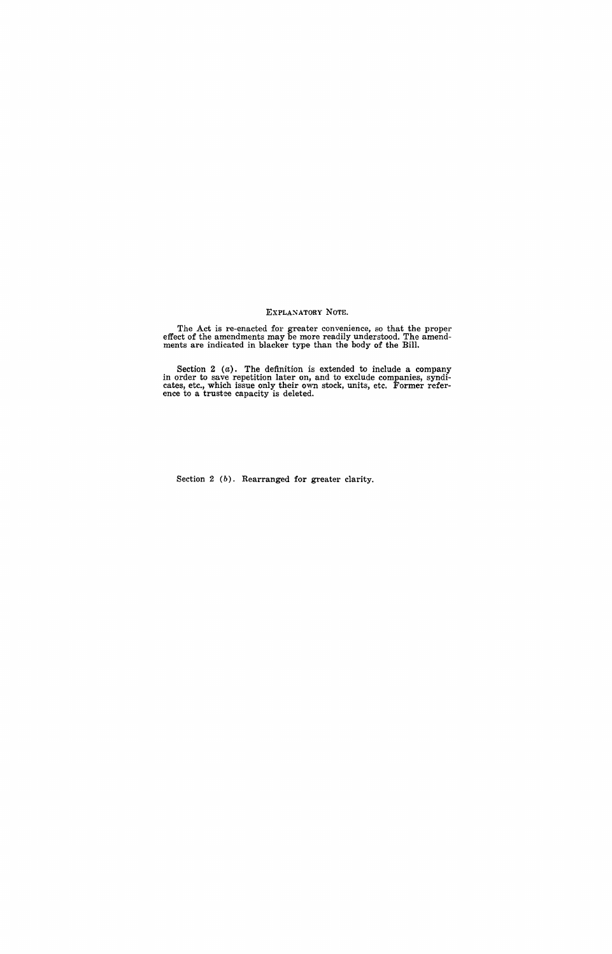#### EXPLANATORY NOTE.

The Act is re-enacted for greater convenience, so that the proper effect of the amendments may be more readily understood. The amendments are indicated in blacker type than the body of the Bill.

Section 2  $(a)$ . The definition is extended to include a company in order to save repetition later on, and to exclude companies, syndicates, etc., which issue only their own stock, units, etc. Former refer-<br>ence to a trustee capacity is deleted.

Section 2 (b). Rearranged for greater clarity.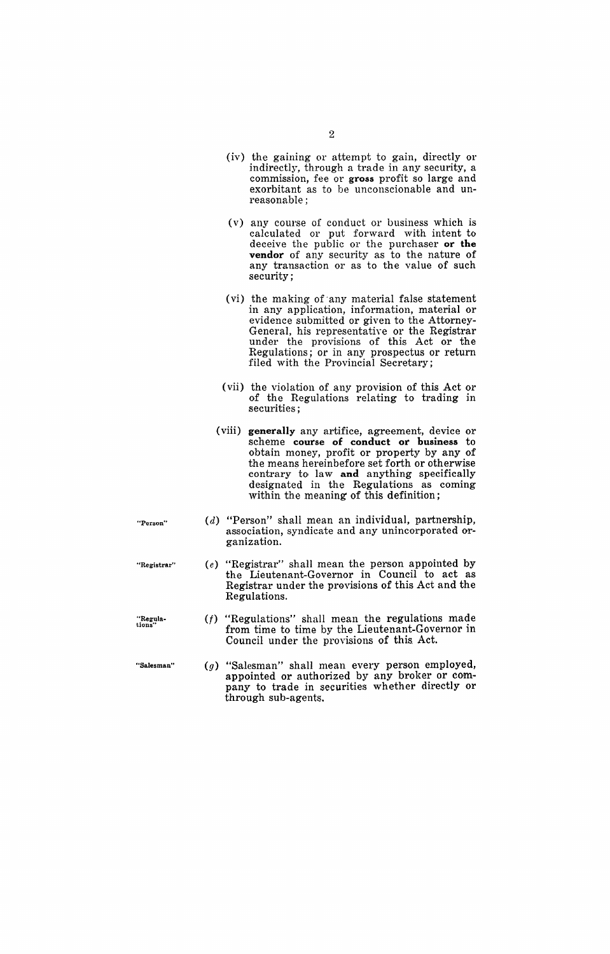|                    | (iv) the gaining or attempt to gain, directly or<br>indirectly, through a trade in any security, a<br>commission, fee or gross profit so large and<br>exorbitant as to be unconscionable and un-<br>reasonable;                                                                                                                   |
|--------------------|-----------------------------------------------------------------------------------------------------------------------------------------------------------------------------------------------------------------------------------------------------------------------------------------------------------------------------------|
|                    | (v) any course of conduct or business which is<br>calculated or put forward with intent to<br>deceive the public or the purchaser or the<br>vendor of any security as to the nature of<br>any transaction or as to the value of such<br>security;                                                                                 |
|                    | (vi) the making of any material false statement<br>in any application, information, material or<br>evidence submitted or given to the Attorney-<br>General, his representative or the Registrar<br>under the provisions of this Act or the<br>Regulations; or in any prospectus or return<br>filed with the Provincial Secretary; |
|                    | (vii) the violation of any provision of this Act or<br>of the Regulations relating to trading in<br>securities;                                                                                                                                                                                                                   |
|                    | (viii) generally any artifice, agreement, device or<br>scheme course of conduct or business to<br>obtain money, profit or property by any of<br>the means hereinbefore set forth or otherwise<br>contrary to law and anything specifically<br>designated in the Regulations as coming<br>within the meaning of this definition;   |
| "Person"           | (d) "Person" shall mean an individual, partnership,<br>association, syndicate and any unincorporated or-<br>ganization.                                                                                                                                                                                                           |
| "Registrar"        | "Registrar" shall mean the person appointed by<br>(e)<br>the Lieutenant-Governor in Council to act as<br>Registrar under the provisions of this Act and the<br>Regulations.                                                                                                                                                       |
| "Regula-<br>tions" | $(f)$ "Regulations" shall mean the regulations made<br>from time to time by the Lieutenant-Governor in<br>Council under the provisions of this Act.                                                                                                                                                                               |
| "Salesman"         | (g) "Salesman" shall mean every person employed,<br>appointed or authorized by any broker or com-<br>pany to trade in securities whether directly or<br>through sub-agents.                                                                                                                                                       |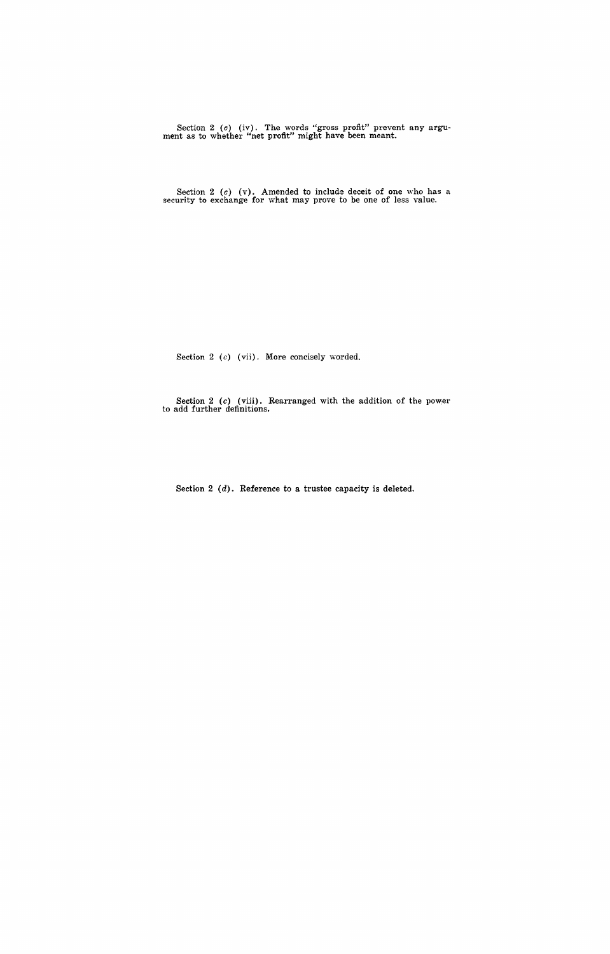Section 2 (c) (iv). The words "gross profit" prevent any argument as to whether "net profit" might have been meant.

Section 2 (c) (v). Amended to include deceit of one who has a security to exchange for what may prove to be one of less value.

Section 2 (c) (vii). More concisely worded.

Section 2 (c) (viii). Rearranged with the addition of the power to add further definitions.

Section 2 (d). Reference to a trustee capacity is deleted.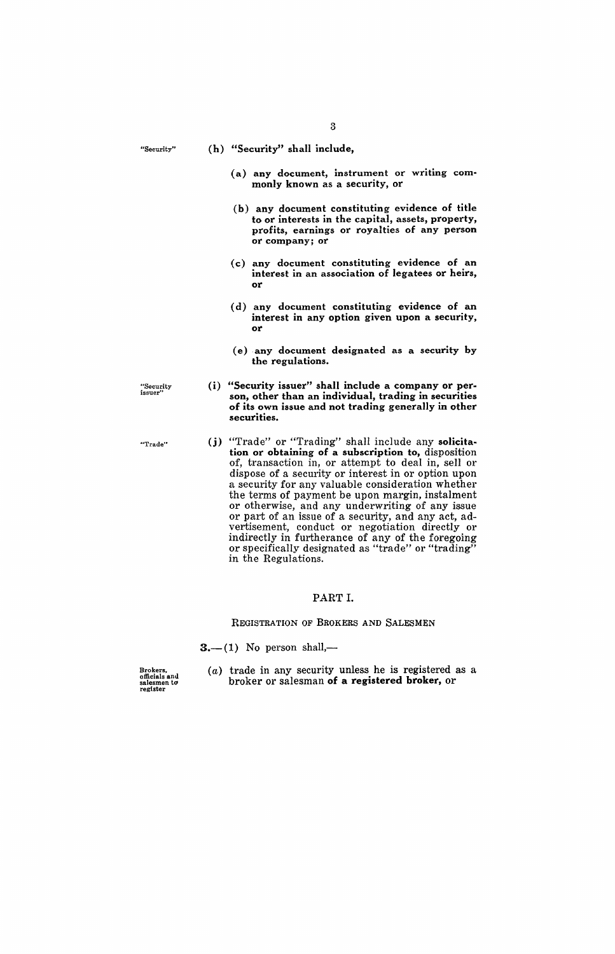"Security"

(h) "Security" shall include,

- (a) any document, instrument or writing commonly known as a security, or
- (b) any document constituting evidence of title to or interests in the capital, assets, property, profits, earnings or royalties of any person or company; or
- (c) any document constituting evidence of an interest in an association of legatees or heirs, or
- (d) any document constituting evidence of an interest in any option given upon a security, or
- (e) . any document designated as a security by the regulations.
- (i) "Security issuer" shall include a company or person, other than an individual, trading in securities of its own issue and not trading generally in other securities.
- (j) "Trade" or "Trading" shall include any solicitation or obtaining of a subscription to, disposition of, transaction in, or attempt to deal in, sell or dispose of a security or interest in or option upon a security for any valuable consideration whether the terms of payment be upon margin, instalment or otherwise, and any underwriting of any issue or part of an issue of a security, and any act, advertisement, conduct or negotiation directly or indirectly in furtherance of any of the foregoing or specifically designated as "trade" or "trading" in the Regulations.

## PART 1.

## REGISTRATION OF BROKERS AND SALESMEN

 $3.$ - $(1)$  No person shall,-

Brokers. officials and salesmen to register

(a) trade in any security unless he is registered as a broker or salesman of a registered broker, or

"Security issuer"

"Trade"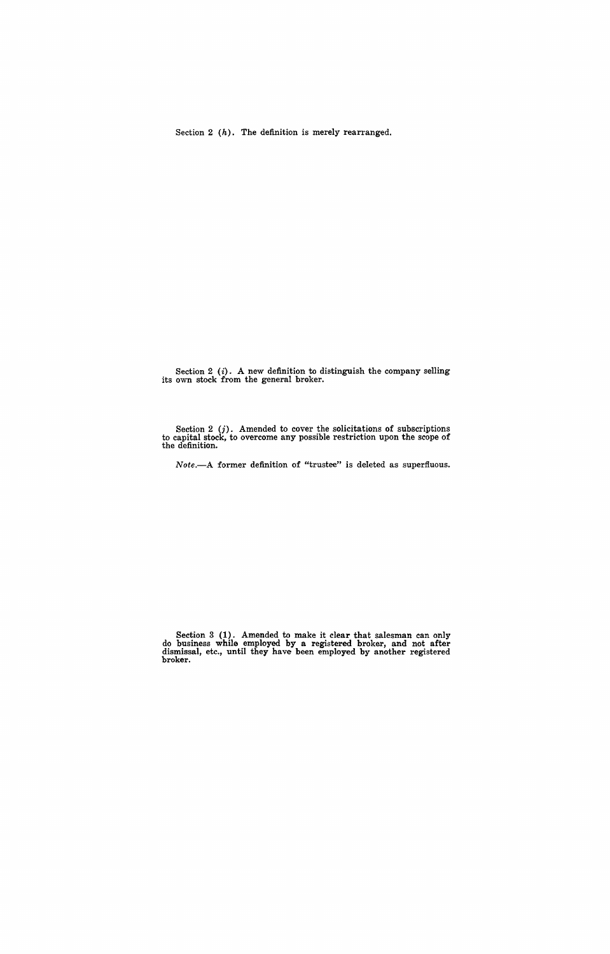Section 2 (h). The definition is merely rearranged.

Section  $2$  (i). A new definition to distinguish the company selling its own stock from the general broker.

Section  $2$  (j). Amended to cover the solicitations of subscriptions to capital stock, to overcome any possible restriction upon the scope of the definition.

*Note.-A* former definition of "trustee" is deleted as superfluous.

Section 3 (1). Amended to make it clear that salesman can only do business while employed by a registered broker, and not after dismissal, etc., until they have been employed by another registered broker.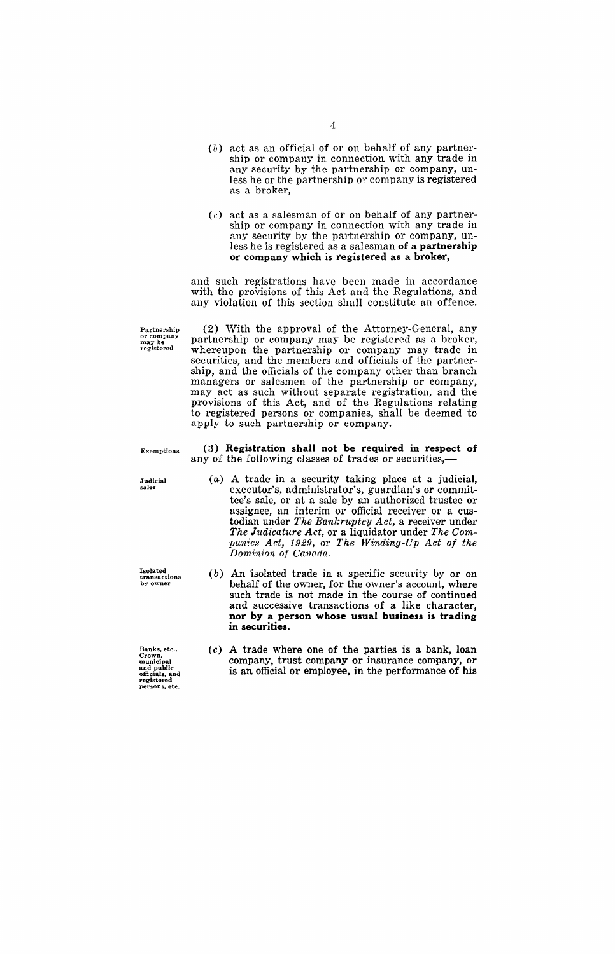- *(b)* act as an official of or on behalf of any partnership or company in connection with any trade in any security by the partnership or company, unless he or the partnership or company is registered as a broker,
- *(c)* act as a salesman of or on behalf of any partnership or company in connection with any trade in any security by the partnership or company, unless he is registered as a salesman of a partnership or company which is registered as a broker,

and such registrations have been made in accordance with the provisions of this Act and the Regulations, and any violation of this section shall constitute an offence.

Partnership or company may be registered

(2) With the approval of the Attorney-General, any partnership or company may be registered as a broker, whereupon the partnership or company may trade in securities, and the members and officials of the partnership, and the officials of the company other than branch managers or salesmen of the partnership or company, may act as such without separate registration, and the provisions of this Act, and of the Regulations relating to registered persons or companies, shall be deemed to apply to such partnership or company.

Exemptions

Judicial sales

Isolated<br>transactions<br>by owner

Banks, etc.,<br>Crown,<br>municipal and public<br>officials, and<br>registered<br>persons, etc.

- (3) Registration shall not be required in respect of any of the following classes of trades or securities,-
	- (a) A trade in a security taking place at a judicial, executor's, administrator's, guardian's or committee's sale, or at a sale by an authorized trustee or assignee, an interim or official receiver or a custodian under *The Bankruptcy Act,* a receiver under *The Judicature Act,* or a liquidator under *The Companies Act, 1929, or The Winding-Up Act of the Dominion of Canada.*
	- (b) An isolated trade in a specific security by or on behalf of the owner, for the owner's account, where such trade is not made in the course of continued and successive transactions of a like character, nor by a person whose usual business is trading in securities.
	- (c) A trade where one of the parties is a bank, loan company, trust company or insurance company, or is an official or employee, in the performance of his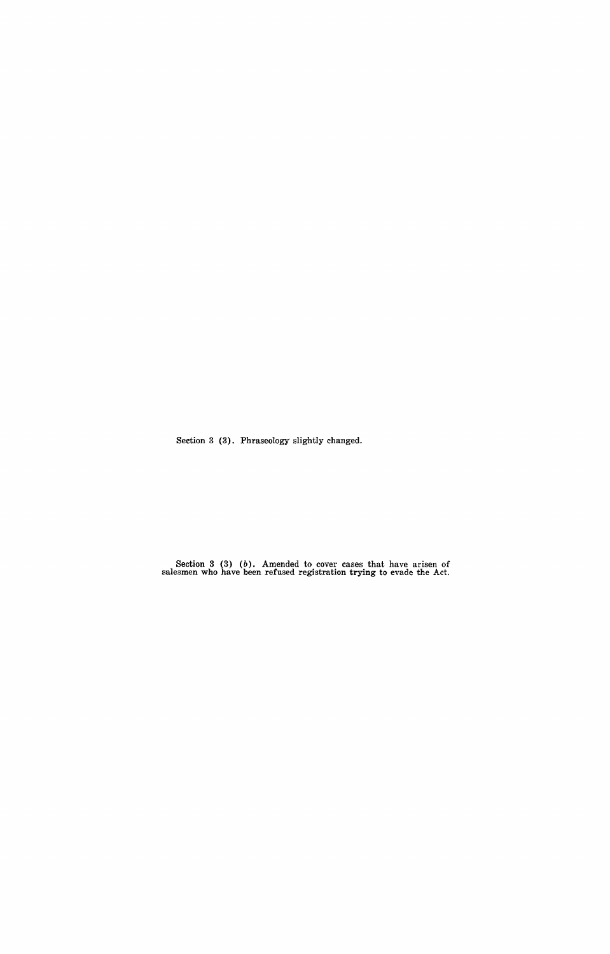Section 3 (3). Phraseology slightly changed.

Section 3 (3) (*b*). Amended to cover cases that have arisen of salesmen who have been refused registration trying to evade the Act.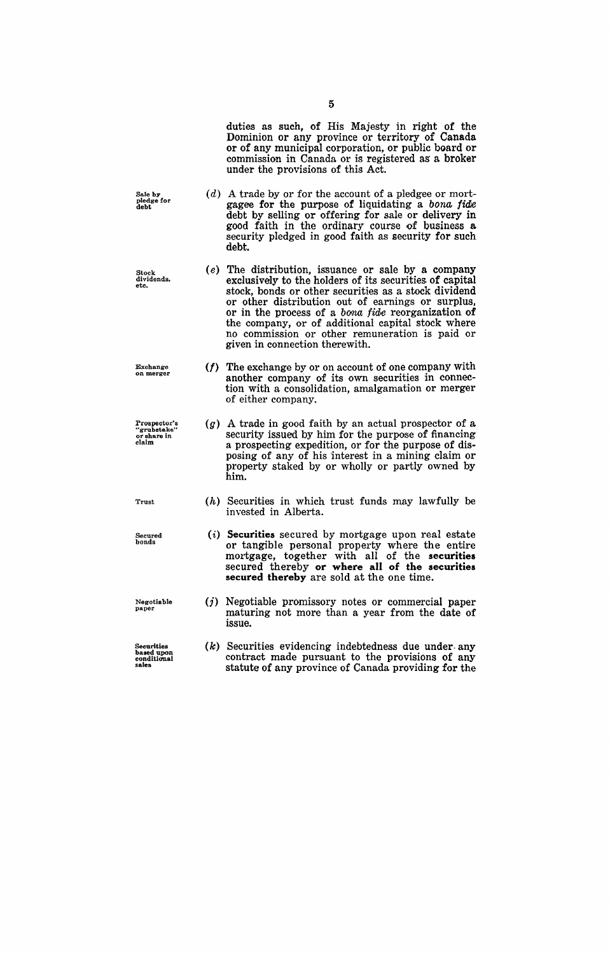duties as such, of His Majesty in right of the Dominion or any province or territory of Canada or of any municipal corporation, or public board or commission in Canada or is registered as' a broker under the provisions of this Act.

- Sale by pledge for debt  $(d)$  A trade by or for the account of a pledgee or mortgagee for the purpose of liquidating a bona *fidle*  debt by selling or offering for sale or delivery in good faith in the ordinary course of business a security pledged in good faith as security for such debt.
	- $(e)$  The distribution, issuance or sale by a company exclusively to the holders of its securities of capital stock, bonds or other securities as a stock dividend or other distribution out of earnings or surplus, or in the process of a *bona fide* reorganization of the company, or of additional capital stock where no commission or other remuneration is paid or given in connection therewith.
		- (f) The exchange by or on account of one company with another company of its own securities in connection with a consolidation, amalgamation or merger of either company.
			- (g) A trade in good faith by an actual prospector of a security issued by him for the purpose of financing a prospecting expedition, or for the purpose of disposing of any of his interest in a mining claim or property staked by or wholly or partly owned by him.
				- (h) Securities in which trust funds may lawfully be invested in Alberta.
				- (i) **Securities** secured by mortgage upon real estate or tangible personal property where the entire mortgage, together with all of the **securities**  secured thereby **or where all of the securities secured thereby** are sold at the one time.
				- (j) Negotiable promissory notes or commercial paper maturing not more than a year from the date of issue.
				- (k) Securities evidencing indebtedness due under. any contract made pursuant to the provisions of any statute of any province of Canada providing for the

Stock dividends, etc.

Exchange **on merger** 

Prospector's<br>"grubstake"<br>or share in<br>claim

Trust

Secured bonds

Negotiable paper

Securities based upon<br>conditional<br>sales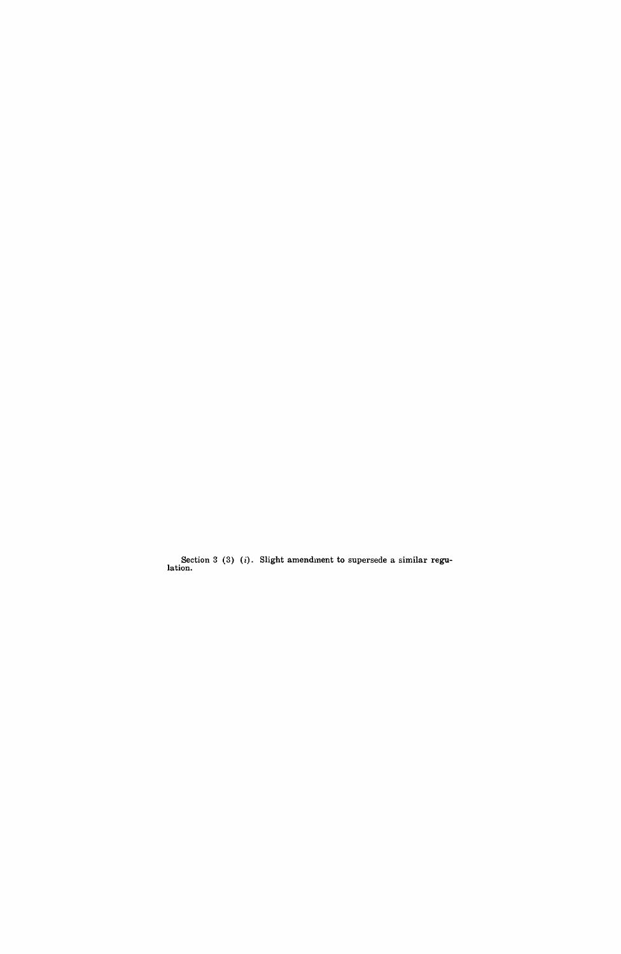Section 3 (3) (*i*). Slight amendment to supersede a similar regulation.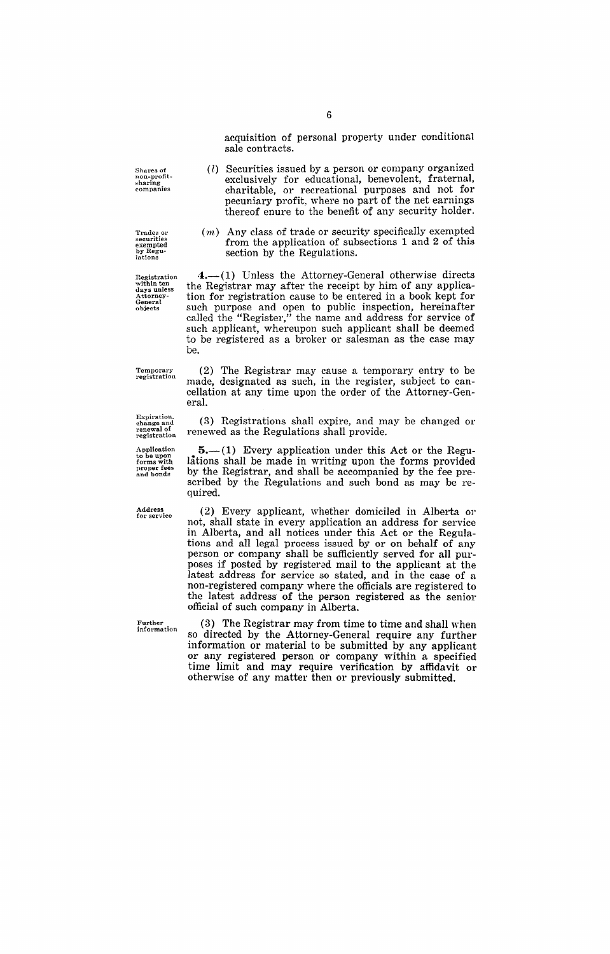Shares of<br>n**on-**profit-<br>sharing **companies** 

**Trades or securities**  exempted by Regu- **lations** 

Registration<br>within ten<br>days unless<br>Attorney-<br>General<br>objects

Temporary registration

**Expiration. change and**  renewal of **registration** 

Application to be upon forms with **proper fees and bands** 

Address **for service** 

**Further infol'mation** 

acquisition of personal property under conditional

- (l) Securities issued by a person or company organized exclusively for educational, benevolent, fraternal, charitable, or recreational purposes and not for pecuniary profit, where no part of the net earnings thereof enure to the benefit of any security holder.
- $(m)$  Any class of trade or security specifically exempted from the application of subsections 1 and 2 of this section by the Regulations.

 $4.$ — $(1)$  Unless the Attorney-General otherwise directs the Registrar may after the receipt by him of any application for registration cause to be entered in a book kept for such purpose and open to public inspection, hereinafter called the "Register," the name and address for service of such applicant, whereupon such applicant shall be deemed to be registered as a broker or salesman as the case may be.

(2) The Registrar may cause a temporary entry to be made, designated as such, in the register, subject to cancellation at any time upon the order of the Attorney-General.

(3) Registrations shall expire, and may be changed or renewed as the Regulations shall provide.

 $5-(1)$  Every application under this Act or the Regulations shall be made in writing upon the forms provided by the Registrar, and shall be accompanied by the fee prescribed by the Regulations and such bond as may be required.

(2) Every applicant, whether domiciled in Alberta or not, shall state in every application an address for service in Alberta, and all notices under this Act or the Regulations and all legal process issued by or on behalf of any person or company shall be sufficiently served for all purposes if posted by registered mail to the applicant at the latest address for service so stated, and in the case of a non-registered company where the officials are registered to the latest address of the person registered as the senior official of such company in Alberta.

(3) The Registrar may from time to time and shall when so directed by the Attorney-General require any further information or material to be submitted by any applicant 01' any registered person or company within a specified time limit and may require verification by affidavit or otherwise of any matter then or previously submitted.

sale contracts.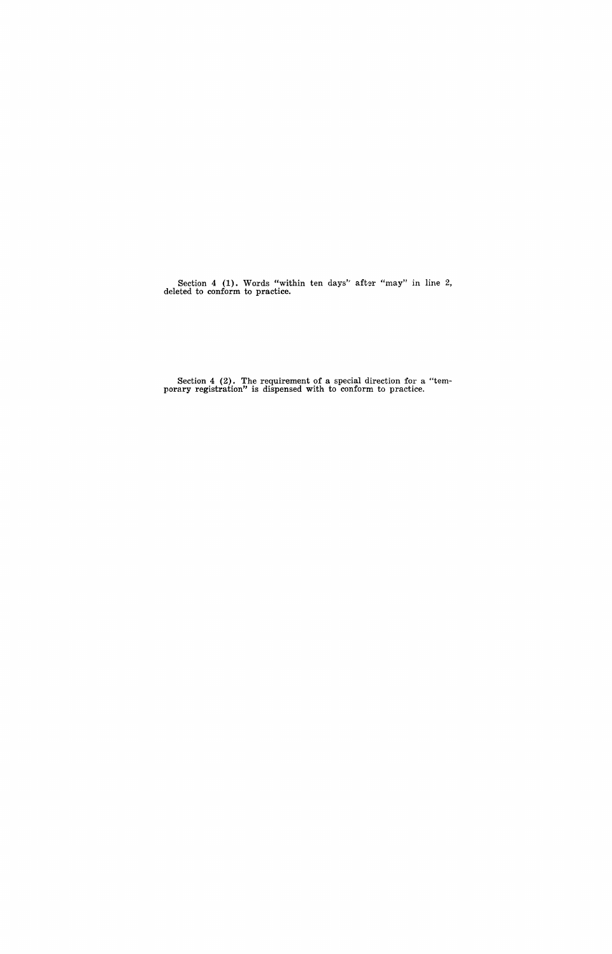Section 4  $(1)$ . Words "within ten days" after "may" in line 2, deleted to conform to practice.

Section 4 (2). The requirement of a special direction for a "temporary registration" is dispensed with to conform to practice.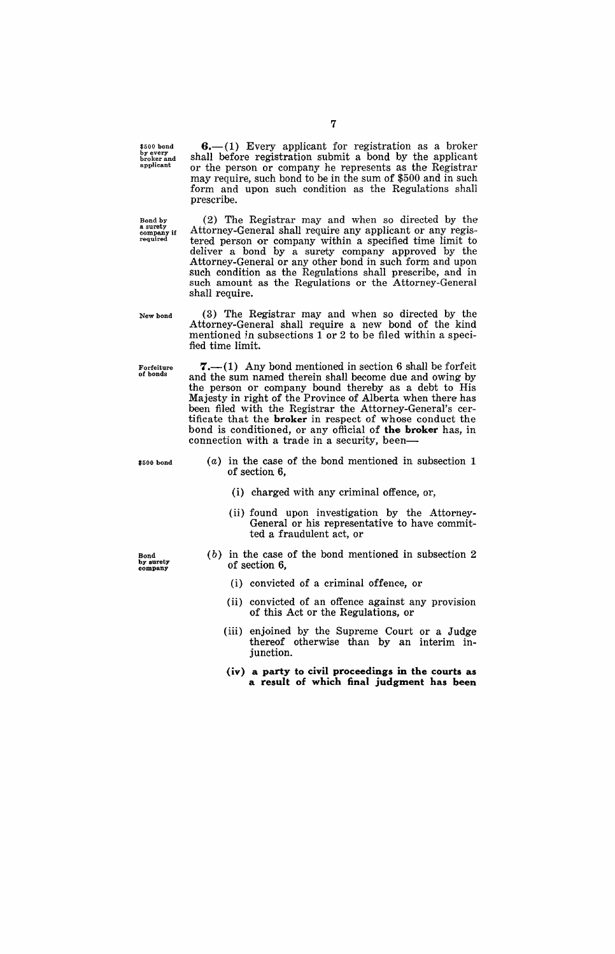\$500 bond by every broker and applicant

Bond by a surety company if **required** 

may require, such bond to be in the sum of \$500 and in such form and upon such condition as the Regulations shall prescribe. (2) The Registrar may and when so directed by the Attorney-General shall require any applicant or any registered person or company within a specified time limit to deliver a bond by a surety company approved by the Attorney-General or any other bond in such form and upon

New bond

shall require.

Forfeiture of bonds

(3) The Registrar may and when so directed by the Attorney-General shall require a new bond of the kind mentioned in subsections  $1$  or  $2$  to be filed within a specified time limit.

such condition as the Regulations shall prescribe, and in such amount as the Regulations or the Attorney-General

 $7,-(1)$  Any bond mentioned in section 6 shall be forfeit and the sum named therein shall become due and owing by the person or company bound thereby as a debt to His Majesty in right of the Province of Alberta when there has been filed with the Registrar the Attorney-General's certificate that the **broker** in respect of whose conduct the bond is conditioned, or any official of **the broker** has, in connection with a trade in a security, been-

\$500 bond

- (a) in the case of the bond mentioned in subsection 1 of section 6,
	- (i) charged with any criminal offence, or,
	- (ii) found upon investigation by the Attorney-General or his representative to have committed a fraudulent act, or

Bond by surety company

- $(b)$  in the case of the bond mentioned in subsection 2 of section 6,
	- (i) convicted of a criminal offence, or
	- (ii) convicted of an offence against any provision of this Act or the Regulations, or
	- (iii) enJoined by the Supreme Court or a Judge thereof otherwise than by an interim injunction.
	- **(iv) a party to civil proceedings in the courts as a result of which final judgment has been**

 $6-$ (1) Every applicant for registration as a broker shall before registration submit a bond by the applicant or the person or company he represents as the Registrar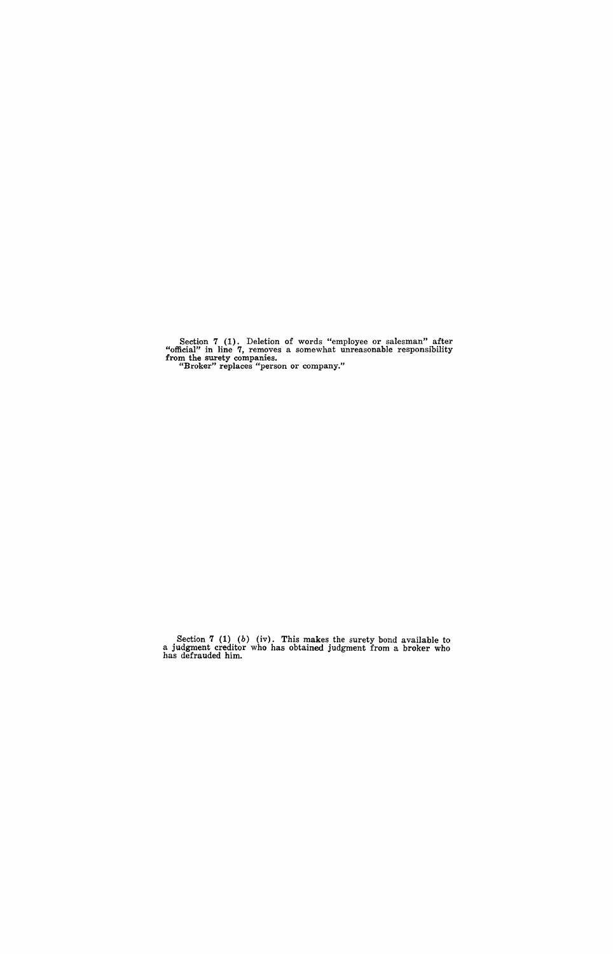Section 7 (1). Deletion of words "employee or salesman" after "official" in line 7, removes a somewhat unreasonable responsibility from the surety companies. "Broker" replaces "person or company."

Section 7 (1) (b) (iv). This makes the surety bond available to a judgment creditor who has obtained judgment from a broker who has defrauded him.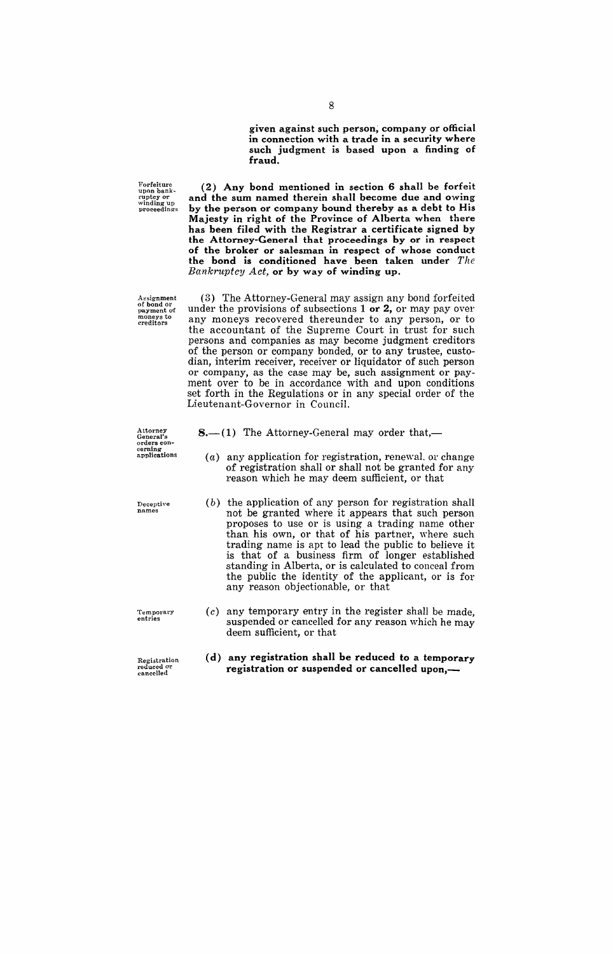given against such person; company or official in connection with a trade in a security where such judgment is based upon a finding of fraud.

Forfeiture<br>upon bank-<br>ruptcy or winding up<br>proceedings

(2) Any bond mentioned in section 6 shall be forfeit and the sum named therein shall become due and owing by the person or company bound thereby as a debt to His Majesty in right of the Province of Alberta when there has been filed with the Registrar a certificate signed by the Attorney-Ceneral that proceedings by or in respect of the broker or salesman in respect of whose conduct the bond is conditioned have been taken under *The*  Bankruptcy Act, or by way of winding up.

Assignment<br>of bond or<br>payment of<br>moneys to<br>creditors

(3) The Attorney-General may assign any bond forfeited under the provisions of subsections 1 or 2, or may pay over any moneys recovered thereunder to any person, or to the accountant of the Supreme Court in trust for such persons and companies as may become judgment creditors of the person or company bonded, or to any trustee, custodian, interim receiver, receiver or liquidator of such person or company, as the case may be, such assignment or payment over to be in accordance with and upon conditions set forth in the Regulations or in any special order of the Lieutenant-Governor in Council.

Attorney<br>General's<br>orders con-<br>cerning applications

**Deceptive** names

Temporary<br>entries

Registration<br>reduced or<br>cancelled

- $8-(1)$  The Attorney-General may order that,-
	- (a) any application for registration, renewal. or change of registration shall or shall not be granted for any reason which he may deem sufficient, or that
- (b) the application of any person for registration shall not be granted where it appears that such person proposes to use or is using a trading name other than his own, or that of his partner, where such trading name is apt to lead the public to believe it is that of a business firm of longer established standing in Alberta, or is calculated to conceal from the public the identity of the applicant, or is for any reason objectionable, or that
- $(c)$  any temporary entry in the register shall be made, suspended or cancelled for any reason which he may deem sufficient, or that
- (d) any registration shall be reduced to a temporary registration or suspended or cancelled upon,-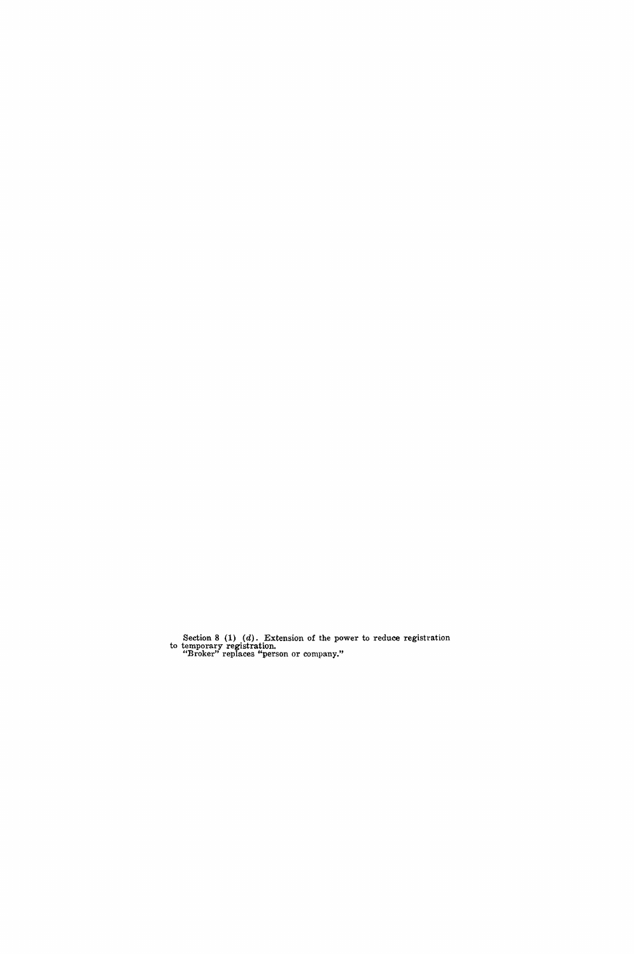Section 8  $(1)$   $(d)$ . Extension of the power to reduce registration to temporary registration. "Broker" replaces "person or company."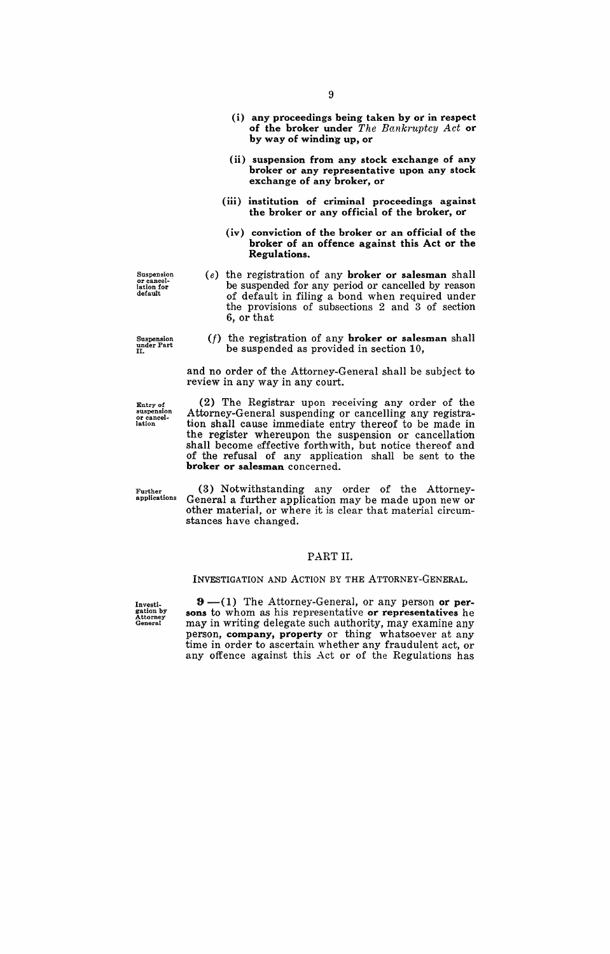- (i) any proceedings being taken by or in respect of the broker under *The Bankruptcy Act* or by way of winding up, or
- (ii) suspension from any stock exchange of any broker or any representative upon any stock exchange of any broker, or
- (iii) institution of criminal proceedings against the broker or any official of the broker, or
- (iv) conviction of the broker or an official of the broker of an offence against this Act or the Regulations.
- (e) the registration of any broker or salesman shall be suspended for any period or cancelled by reason of default in filing a bond when required under the provisions of subsections 2 and 3 of section 6, or that
- Suspension under Part II. ( $f$ ) the registration of any **broker or salesman** shall be suspended as provided in section 10,

and no order of the Attorney-General shall be subject to

review in any way in any court.

suspension or cancel-lation

(2) The Registrar upon receiving any order of the Attorney-General suspending or cancelling any registration shall cause immediate entry thereof to be made in the register whereupon the suspension or cancellation shall become effective forthwith, but notice thereof and of the refusal of any application shall be sent to the broker or salesman concerned.

Further applications

(3) Notwithstanding any order of the Attorney-General a further application may be made upon new or other material, or where it is clear that material circumstances have changed.

#### PART II.

#### INVESTIGATION AND ACTION BY THE ATTORNEY-GENERAL.

Investi-gation by Attorney General

 $9 - (1)$  The Attorney-General, or any person or persons to whom as his representative or representatives he may in writing delegate such authority, may examine any person, company, property or thing whatsoever at any time in order to ascertain whether any fraudulent act, or any offence against this Act or of the Regulations has

Entry of

Suspension<br>or cancel-<br>lation for<br>default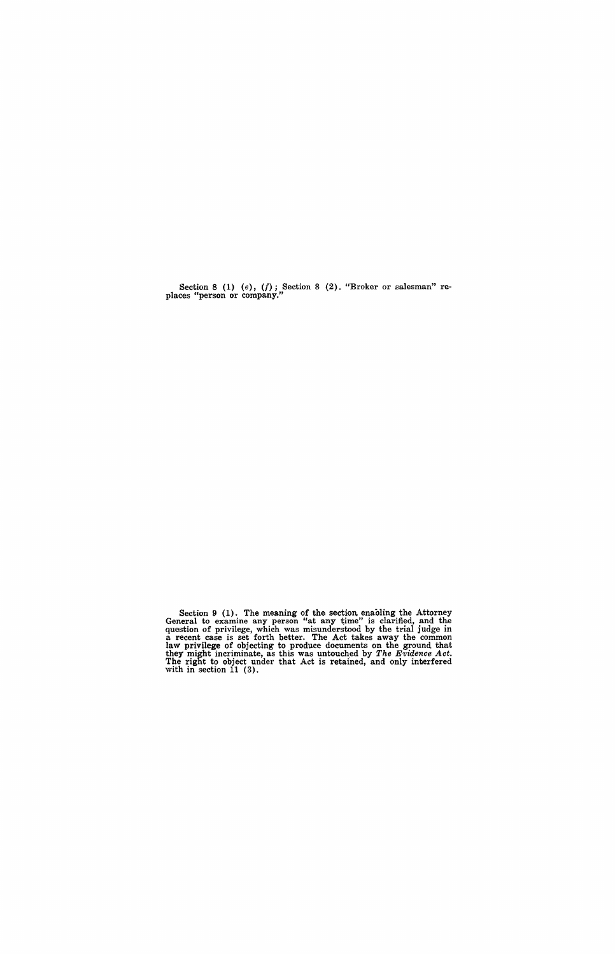Section 8 (1) (e),  $(f)$ ; Section 8 (2). "Broker or salesman" re-<br>places "person or company."

Section 9 (1). The meaning of the section enaoling the Attorney General to examine any person "at any time" is clarified, and the question of privilege, which was misunderstood by the trial judge in a recent case is set forth better. The Act takes away the common laW' privilege of objecting to produce documents on the ground that they might incriminate, as this was untouched by *The Evidence Act*. The right to object under that Act is retained, and only interfered with in section 11 (3).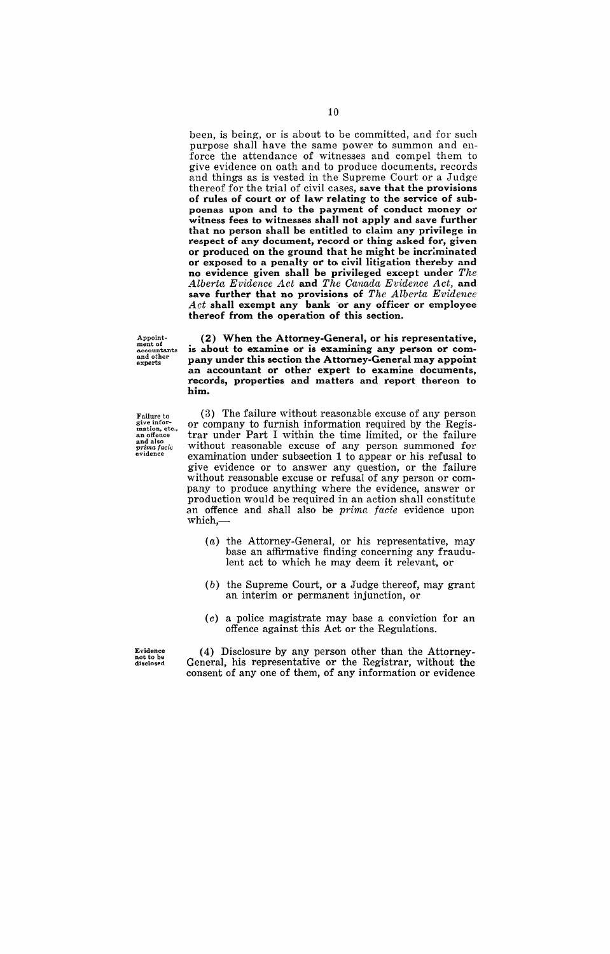been, is being, or is about to be committed, and for such purpose shall have the same power to summon and enforce the attendance of witnesses and compel them to give evidence on oath and to produce documents, records and things as is vested in the Supreme Court or a Judge thereof for the trial of civil cases, save that the provisions of rules of court or of law relating to the service of subpoenas upon and to the payment of conduct money or witness fees to witnesses shall not apply and save further that no person shall be entitled to claim any privilege in respect of any document, record or thing asked for, given or produced on the ground that he might be incriminated or exposed to a penalty or to civil litigation thereby and no evidence given shall be privileged except under *The*  Alberta Evidence Act and The Canada Evidence Act, and save further that no provisions of *The Alberta Evidence*  Act shall exempt any bank or any officer or employee thereof from the operation of this section.

Appointment of accountants and other experts

Failure to<br>give infor-<br>mation, etc.,<br>an offence<br>and also<br>prima facie<br>evidence

(2) When the' Attorney-General, or his representative, is about to examine or is examining any person or company under this section the Attorney-General may appoint an accountant or other expert to examine documents, records, properties and matters and report thereon to him.

(3) The failure without reasonable excuse of any person or company to furnish information required by the Registrar under Part I within the time limited, or the failure without reasonable excuse of any person summoned for examination under subsection 1 to appear or his refusal to give evidence or to answer any question, or the failure without reasonable excuse or refusal of any person or company to produce anything where the evidence, answer or production would be required in an action shall constitute an offence and shall also be *prima facie* evidence upon which,-

- (a) the Attorney-General, or his representative, may base an affirmative finding concerning any fraudulent act to which he may deem it relevant, or
- (b) the Supreme Court, or a Judge thereof, may grant an interim or permanent injunction, or
- (c) a police magistrate may base a conviction for an offence against this Act or the Regulations.

Evidence not to be disclosed

(4) Disclosure by any person other than the Attorney-General, his representative or the Registrar, without the consent of any one of them, of any information or evidence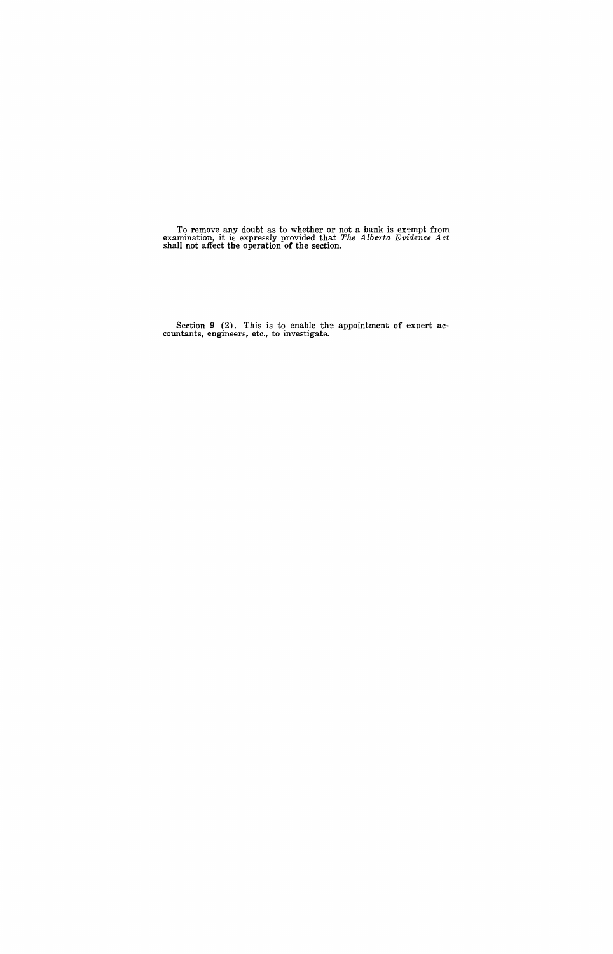To remove any doubt as to whether or not a bank is exempt from examination, it is expressly provided that *The Alberta Evidence Act* shall not affect the operation of the section.

Section 9 (2). This is to enable the appointment of expert accountants, engineers, etc., to investigate.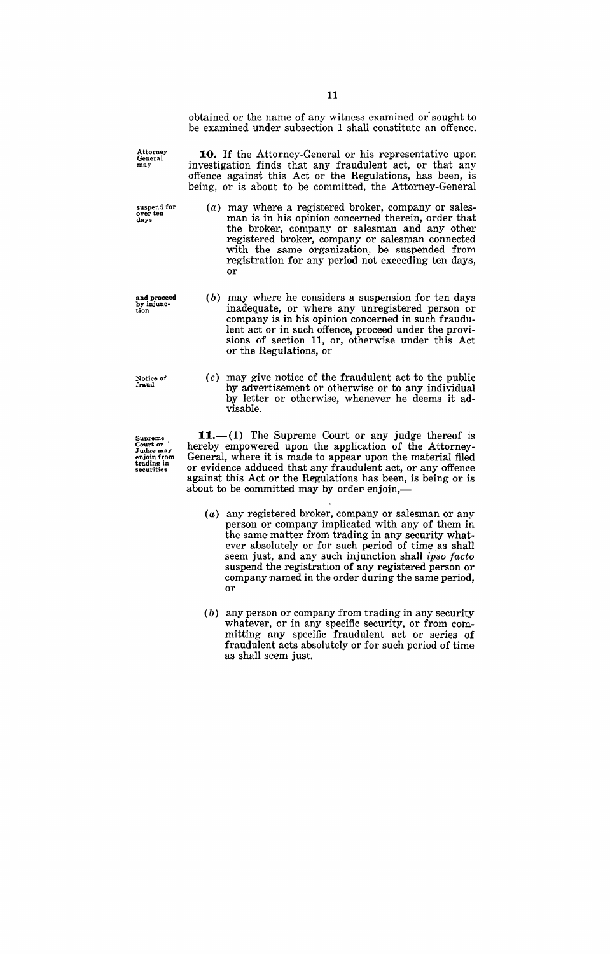obtained or the name of any witness examined or sought to be examined under subsection 1 shall constitute an offence.

**10.** If the Attorney-General or his representative upon investigation finds that any fraudulent act, or that any offence against this Act or the Regulations', has been, is being, or is about to be committed, the Attorney-General

- (a) may where a registered broker, company or salesman is in his opinion concerned therein, order that the broker, company or salesman and any other registered broker, company or salesman connected with the same organization, be suspended from registration for any period not exceeding ten days, or
- $(b)$  may where he considers a suspension for ten days inadequate, or where any unregistered person or company is in his opinion concerned in such fraudulent act or in such offence, proceed under the provisions of section 11, or, otherwise under this Act or the Regulations, or
- (c) may give notice of the fraudulent act to the public by advertisement or otherwise or to any individual by letter or otherwise, whenever he deems it advisable.

 $11.$ --(1) The Supreme Court or any judge thereof is hereby empowered upon the application of the Attorney-General, where it is made to appear upon the material filed or evidence adduced that any fraudulent act, or any offence against this Act or the Regulations has been, is being or is about to be committed may by order enjoin,-

- (a) any registered broker, company or salesman or any person or company implicated with any of them in the same matter from trading in any security whatever absolutely or for such period of time as shall seem just, and any such injunction shall *ipso facto*  suspend the registration of any registered person or company named in the order during the same period, or
- (b) any person or company from trading in any security whatever, or in any specific security, or from committing any specific fraudulent act or series of fraudulent acts absolutely or for such period of time as shall seem just.

Attorney<br>General<br>may

suspend for **over ten** days

and proceed by injunc-tion

Notice of fraud

Supreme<br>Court or<br>Judge may<br>enjoin from trading in securities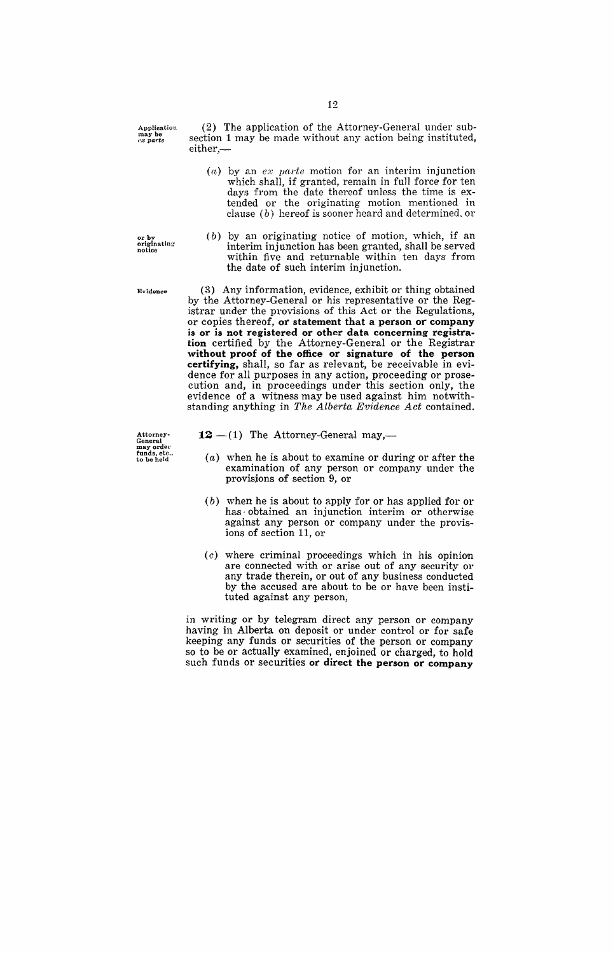Application may be *ex parte* 

(2) The application of the Attorney-General under subsection 1 may be made without any action being instituted, either,-

(a) by an  $ex$  *parte* motion for an interim injunction which shall, if granted, remain in full force for ten days from the date thereof unless the time is extended or the originating motion mentioned in clause (b) hereof is sooner heard and determined. or

or by<br>originating<br>notice

(b) by an originating notice of motion, which, if an interim injunction has been granted, shall be served within five and returnable within ten days from the date of such interim injunction.

(3) Any information, evidence, exhibit or thing obtained

Evidence

Attorney-General may order funds. etc .. to be held by the Attorney-General or his representative or the Registrar under the provisions of this Act or the Regulations, or copies thereof, or statement that a person or company is or is not registered or other data concerning registration certified by the Attorney-General or the Registrar without proof of the office or signature of the person certifying, shall, so far as relevant, be receivable in evidence for all purposes in any action, proceeding or prosecution and, in proceedings under this section only, the evidence of a witness may be used against him notwithstanding anything in *The Alberta Evidence Act* contained.

- $12 (1)$  The Attorney-General may,-
	- (a) when he is about to examine or during or after the examination of any person or company under the provisions of section 9, or
	- (b) when he is about to apply for or has applied for or has· obtained an injunction interim or otherwise against any person or company under the provisions of section 11, or
	- $(c)$  where criminal proceedings which in his opinion are connected with or arise out of any security or any trade therein, or out of any business conducted by the accused are about to be or have been instituted against any person,

in writing or by telegram direct any person or company having in Alberta on deposit or under control or for safe keeping any funds or securities of the person or company so to be or actually examined, enjoined or charged, to hold such funds or securities or direct the person or company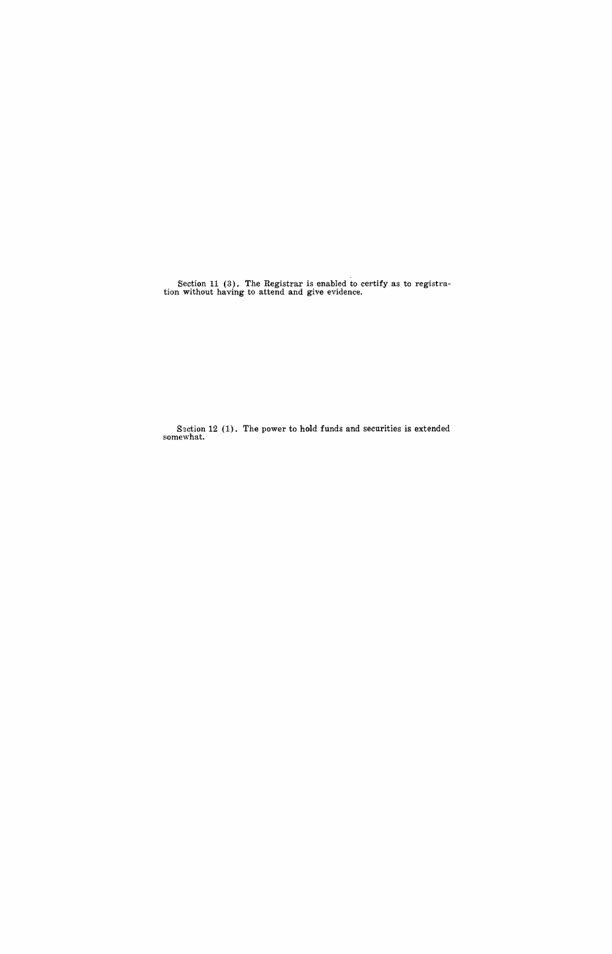Section 11 (3). The Registrar is enabled to certify as to registration without having to attend and give evidence.

Section 12 (1). The power to hold funds and securities is extended somewhat.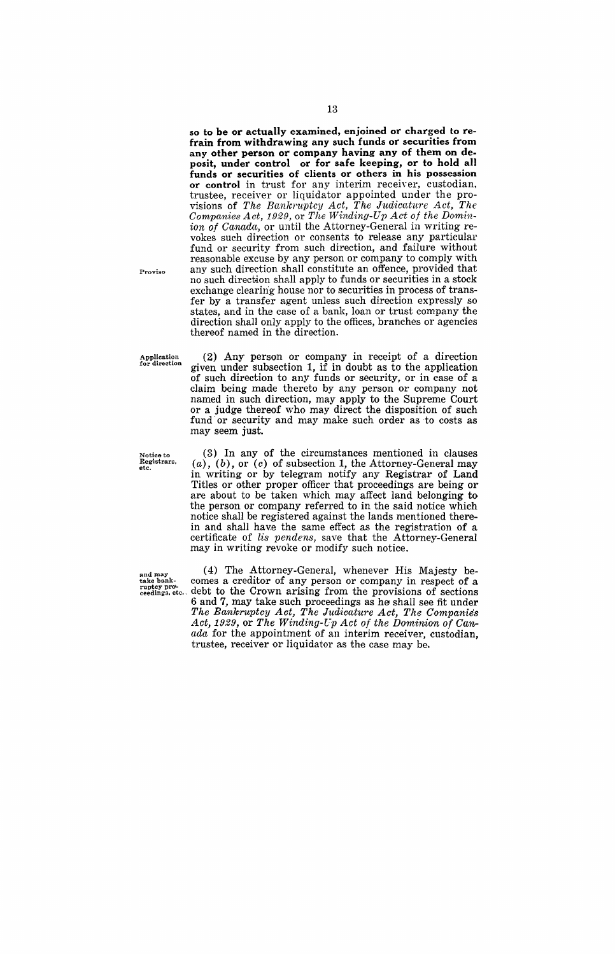so to be or actually examined, enjoined or charged to refrain from withdrawing any such funds or securities from any other person or company having any of them on deposit, under control or for safe keeping, or to hold all funds or securities of clients or others in his possession or control in trust for any interim receiver, custodian, trustee, receiver or liquidator appointed under the provisions of The Bankruptcy Act, The Judicature Act, The *Companies Act,* 1929, or *The Winding-Up Act of the Domin*ion of Canada, or until the Attorney-General in writing revokes such direction or consents to release any particular fund or security from such direction, and failure without reasonable excuse by any person or company to comply with any such direction shall constitute an offence, provided that no such direction shall apply to funds or securities in a stock exchange clearing house nor to securities in process of transfer by a transfer agent unless such direction expressly so states, and in the case of a bank, loan or trust company the direction shall only apply to the offices, branches or agencies thereof named in the direction.

Application for direction

Proviso

(2) Any person or company in receipt of a direction given under subsection 1, if in doubt as to the application of such direction to any funds or security, or in case of a claim being made thereto by any person or company not named in such direction, may apply to the Supreme Court or a judge thereof who may direct the disposition of such fund' or security and may make such order as to costs as may seem just.

Notice to Registrars, etc.

(3) In any of the circumstances mentioned in clauses  $(a)$ ,  $(b)$ , or  $(c)$  of subsection 1, the Attorney-General may in writing or by telegram notify any Registrar of Land Titles or other proper officer that proceedings are being or are about to be taken which may affect land belonging to the person or company referred to in the said notice which notice shall be registered against the lands mentioned therein and shall have the same effect as the registration of a certificate of lis pendens, save that the Attorney-General may in writing revoke or modify such notice.

and may (4) The Attorney-General, whenever His Majesty be-<br>take bank- comes a creditor of any person or company in respect of a take bank-<br>rupted pank-<br>ceedings, etc... debt to the Crown arising from the provisions of sections debt to the Crown arising from the provisions of sections 6 and 7, may take such proceedings as he shall see fit under *The Bankruptcy Act, The Judicature Act, The Companies*  Act, 1929, or The Winding-Up Act of the Dominion of Can*ada* for the appointment of an interim receiver, custodian, trustee, receiver or liquidator as the case may be.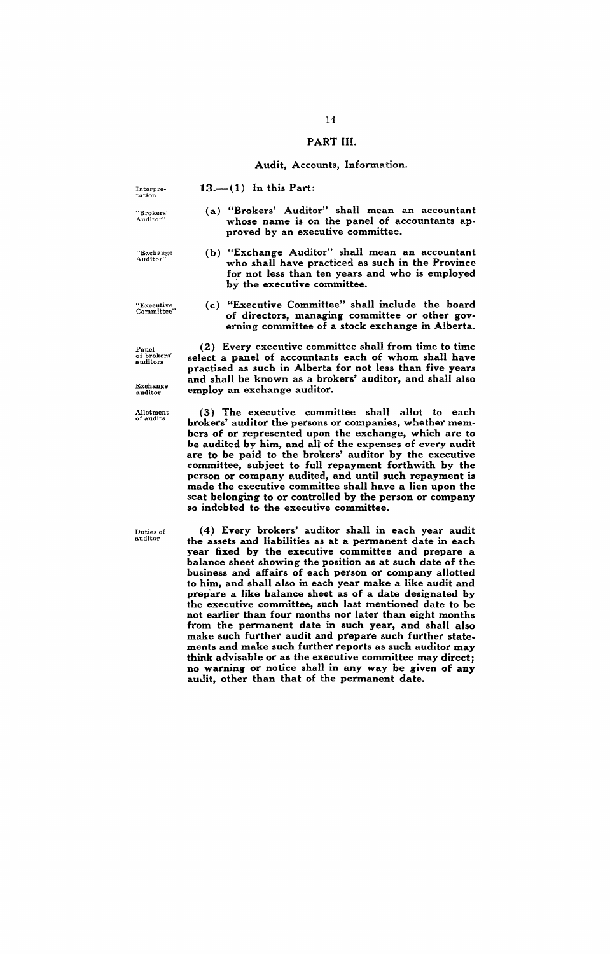### PART III.

#### Audit, Accounts, Information.

 $13,-(1)$  In this Part:

Interpre-tation

"Brokers' Auditor"

"Exchang-e Auditor"

proved by an executive committee. (b) "Exchange Auditor" shall mean an accountant who shall have practiced as such in the Province for not less than ten years and who is employed

(c) "Executive Committee" shall include the board of directors, managing committee or other governing committee of a stock exchange in Alberta.

by the executive committee.

(a) "Brokers' Auditor" shall mean an accountant whose name is on the panel of accountants ap-

"Executive Committee"

Panel of brokers' auditors

Exchange auditor

Allotment of audits

Duties of auditor

(2) Every executive committee shall from time to time select a panel of accountants each of whom shall have practised as such in Alberta for not less than five years and shall be known as a brokers' auditor, and shall also employ an exchange auditor.

(3) The executive committee shall allot to each brokers' auditor the persons or companies, whether members of or represented upon the exchange, which are to be audited by him, and all of the expenses of every audit are to be paid to the brokers' auditor by the executive committee, subject to full repayment forthwith by the person or company audited, and until such repayment is made the executive committee shall have a lien upon the seat belonging to or controlled by the person or company so indebted to the executive committee.

(4) Every brokers' auditor shall in each year audit the assets and liabilities as at a permanent date in each year fixed by the executive committee and prepare a balance sheet showing the position as at such date of the business and affairs of each person or company allotted to him, and shall also in each year make a like audit and prepare a like balance sheet as of a date designated by the executive committee, such last mentioned date to be not earlier than four months nor later than eight months from the permanent date in such year, and shall also make such further audit and prepare such further statements and make such further reports as such auditor may think advisable or as the executive committee may direct; no warning or notice shall in any way be given of any audit, other than that of the permanent date.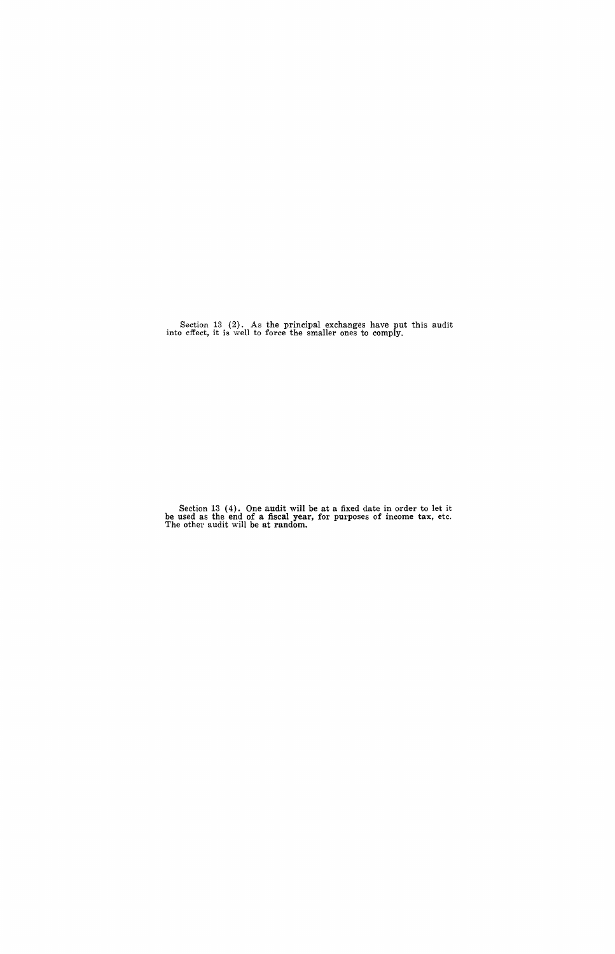Section 13 (2). As the principal exchanges have put this audit into effect, it is well to force the smaller ones to comply.

Section 13 (4). One audit will be at a fixed date in order to let it be used as the end of a fiscal year, for purposes of income tax, etc.<br>The other audit will be at random.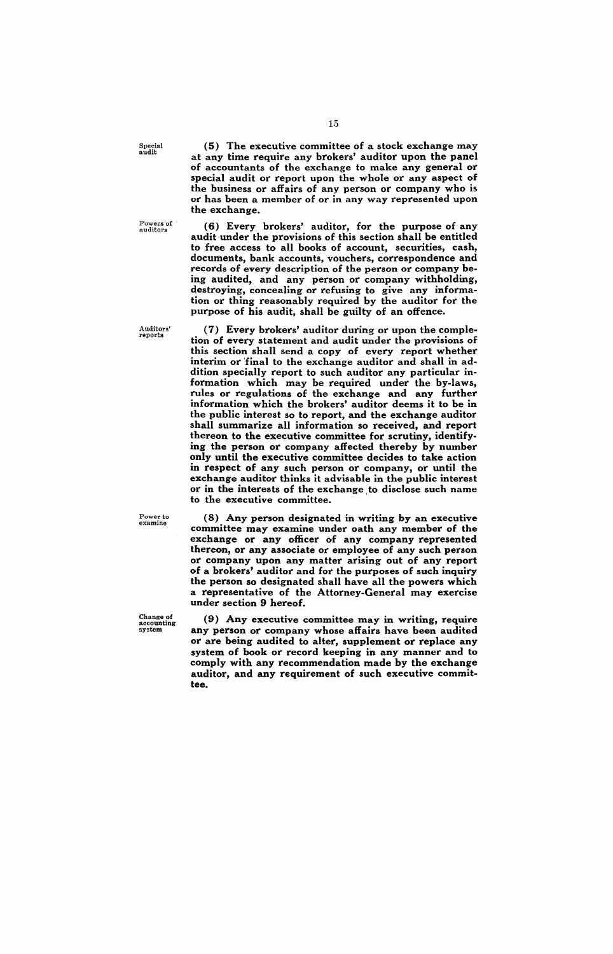Special audit

Powers of ' auditors

Auditors' reports

(5) The executive committee of a stock exchange may at any time require any brokers' auditor upon the panel of accountants of the exchange to make any general or special audit or report upon the whole or any aspect of the business or affairs of any person or company who is or has been a member of or in any way represented upon the exchange.

(6) Every brokers' auditor, for the purpose of any audit under the provisions of this section shall be entitled to free access to all books of account, securities, cash, documents, bank accounts, vouchers, correspondence and records of every description of the person or company being audited, and any person or company withholding, destroying, concealing or refusing to give any information or thing reasonably required by the auditor for the purpose of his audit, shall be guilty of an offence.

(7) Every brokers' auditor during or upon the completion of every statement and audit under the provisions of this section shall send a copy of every report whether interim or 'final to the exchange auditor and shall in addition specially report to such auditor any particular information which may be required under the by-laws, rules or regulations of the exchange and any further information which the brokers' auditor deems it to be in the public interest so to report, and the exchange auditor shall summarize all information so received, and report thereon to the executive committee for scrutiny, identifying the person or company affected thereby by number only until the executive committee decides to take action in respect of any such person or company, or until the exchange auditor thinks it advisable in the public interest or in the interests of the exchange to disclose such name to the executive committee.

Power to<br>examine

committee may examine under oath any member of the exchange or any officer of any company represented thereon, or any associate or employee of any such person or company upon any matter arising out of any report of a brokers' auditor and for the purposes of such inquiry the person so designated shall have all the powers which a representative of the Attorney-General may exercise under section 9 hereof.

(8) Any person designated in writing by an executive

(9) Any executive committee may in writing, require any person or company whose affairs have been audited or are being audited to alter, supplement or replace any system of book or record keeping in any manner and to comply with any recommendation made by the exchange auditor, and any requirement of such executive committee.

Change of accounting system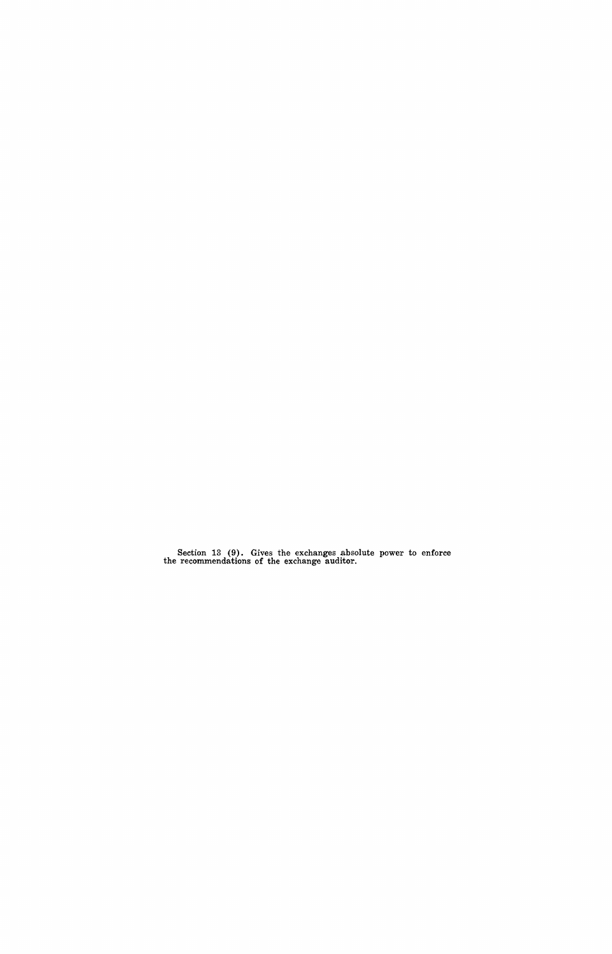Section 13 (9). Gives the exchanges absolute power to enforce the recommendations of the exchange auditor.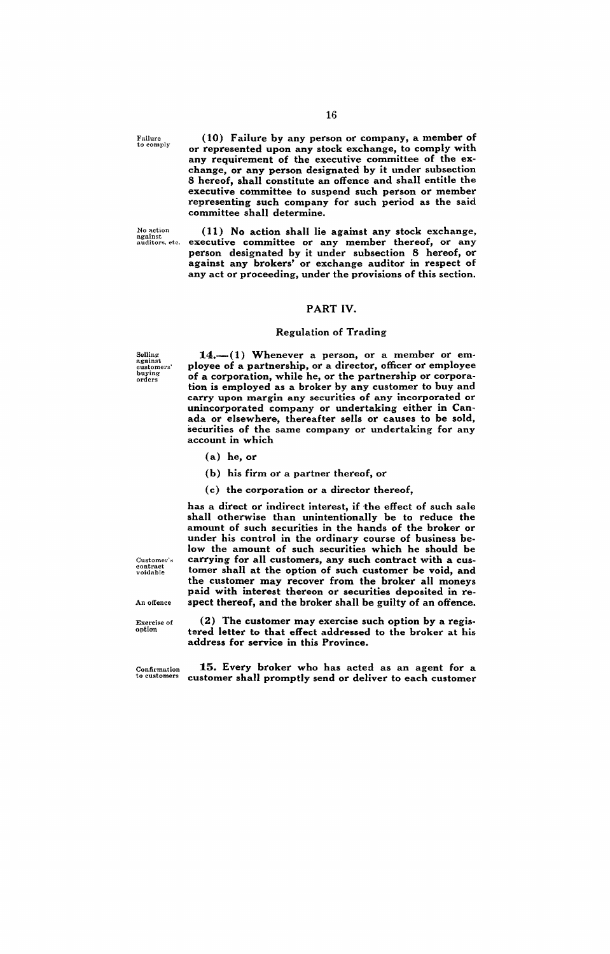Failure<br>to comply

(10) Failure by any person or company, a member of or represented upon any stock exchange, to comply with any requirement of the executive committee of the exchange, or any person designated by it under subsection 8 hereof, shall constitute an offence and shall entitle the executive committee to suspend such person or member representing such company for such period as the said committee shall determine.

No action against auditors, etc.

(11) No action shall lie against any stock exchange, executive committee or any member thereof, or any person designated by it under subsection 8 hereof, or against any brokers' or exchange auditor in respect of any act or proceeding, under the provisions of this section.

## PART IV.

#### Regulation of Trading

Selling against customers' buying orders

 $14.-(1)$  Whenever a person, or a member or employee of a partnership, or a director, officer or employee of a corporation, while he, or the partnership or corporation is employed as a broker by any customer to buy and carry upon margin any securities of any incorporated or unincorporated company or undertaking either in Canada or elsewhere, thereafter sells or causes to be sold, securities of the same company or undertaking for any account in which

- (a) he, or
- (b) his firm or a partner thereof, or

address for service in this Province.

(c) the corporation or a director thereof,

has a direct or indirect interest, if the effect of such sale shall otherwise than unintentionally be to reduce the amount of such securities in the hands of the broker or under his control in the ordinary course of business below the amount of such securities which he should be carrying for all customers, any such contract with a customer shall at the option of such customer be void, and the customer may recover from the broker all moneys paid with interest thereon or securities deposited in respect thereof, and the broker shall be guilty of an offence.

 $\text{Customer's}$ contract voidable

An offence

Exercise of<br>option

Confirmation to customers

15. Every broker who has acted as an agent for a customer shall promptly send or deliver to each customer

(2) The customer may exercise such option by a registered letter to that effect addressed to the broker at his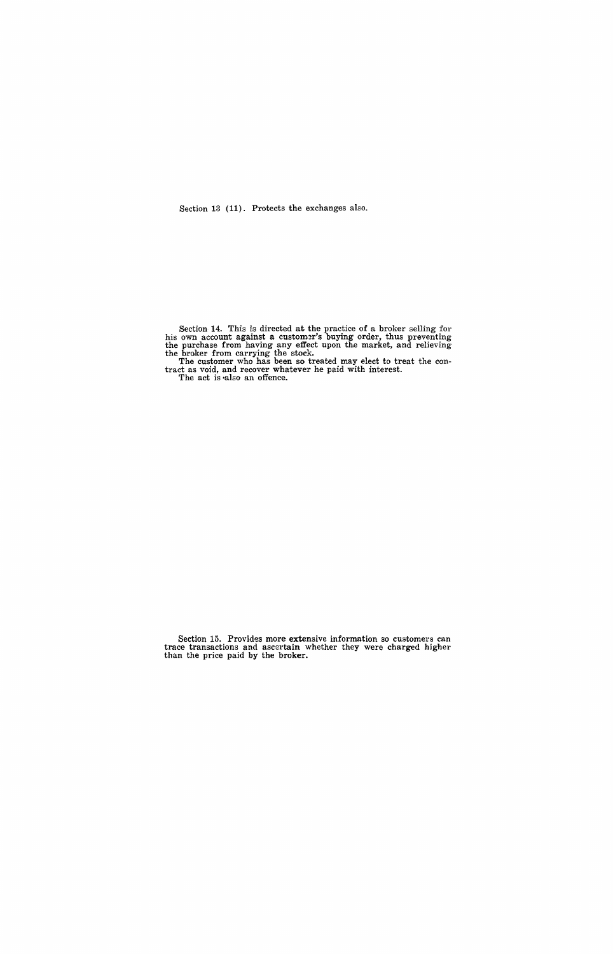Section 13 (11). Protects the exchanges also.

Section 14. This is directed at the practice of a broker selling for his own account against a customer's buying order, thus preventing the purchase from having any effect upon the market, and relieving

the broker from carrying the stock. The customer who has been so treated may elect to treat the con- tract as void, and recover whatever he paid with interest.

The act is ·also an offence.

Section 15. Provides more extensive information so customers can trace transactions and ascertain whether they were charged higher than the price paid by the broker.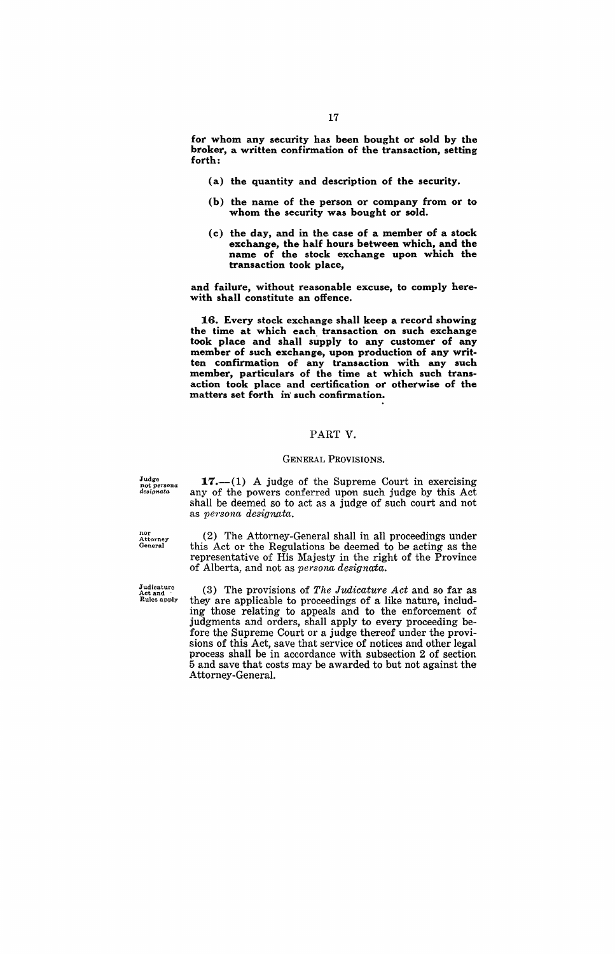for whom any security has been bought or sold by the broker, a written confirmation of the transaction, setting forth:

- (a) the quantity and description of the security.
- (b) the name of the person or company from or to whom the security was bought or sold.
- (c) the day, and in the case of a member of a stock exchange, the half hours between which, and the name of the stock exchange upon which the transaction took place,

and failure, without reasonable excuse, to comply herewith shall constitute an offence.

16. Every stock exchange shall keep a record showing the time at which each transaction on such exchange took place and shall supply to any customer of any member of such exchange, upon production of any written confirmation of any transaction with any such member, particulars of the time at which such transaction took place and certification or otherwise of the matters set forth in such confirmation.

#### PART V.

#### GENERAL PROVISIONS.

Judge not *persona designata* 

 $17.-(1)$  A judge of the Supreme Court in exercising any of the powers conferred upon such judge by this Act shall be deemed so to act as a judge of such court and not as *persona* designata.

(2) The Attorney-General shall in all proceedings under this Act or the Regulations be deemed to be acting as the

nor<br>Attorney<br>General

representative of His Majesty in the right of the Province of Alberta, and not as *persona designata.* 

(3) The provisions of *The Judicature Act* and so far as they are applicable to proceedings of a like nature, including those relating to appeals and to the enforcement of judgments and orders, shall apply to every proceeding before the Supreme Court or a judge thereof under the provisions of this Act, save that service of notices and other legal process shall be in accordance with subsection 2 of section 5 and save that costs may be awarded to but not against the Attorney-General.

JUdicature Act and Rules apply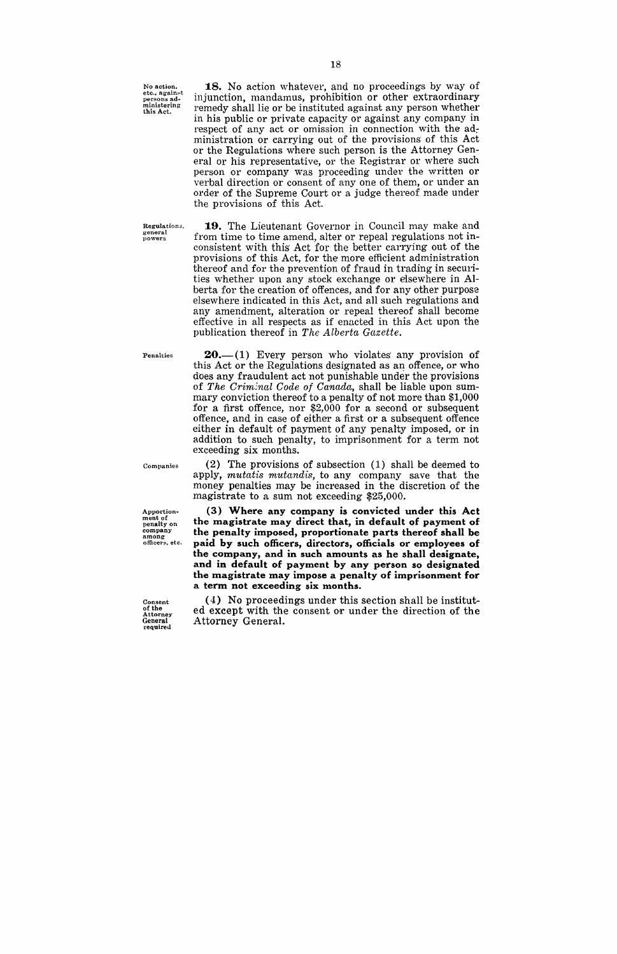No action. **etc., against<br>persons ad-<br>ministering<br>this Act.** 

18. No action whatever, and no proceedings by way of injunction, mandamus, prohibition or other extraordinary remedy shall lie or be instituted against any person whether in his public or private capacity or against any company in respect of any act or omission in connection with the administration or carrying out of the provisions of this Act or the Regulations where such person is the Attorney General or his representative, or the Registrar or where such person or company was proceeding under the written or verbal direction or consent of anyone of them, or under an order of the Supreme Court or a judge thereof made under the provisions of this Act.

**Regulation.::;, general powers** 

**19.** The Lieutenant Governor in Council may make and from time to time amend, alter or repeal regulations not inconsistent with this Act for the better carrying out of the provisions of this Act, for the more efficient administration thereof and for the prevention of fraud in trading in securities whether upon any stock exchange or elsewhere in Alberta for the creation of offences, and for any other purpose elsewhere indicated in this Act, and all such regulations and any amendment, alteration or repeal thereof shall become effective in all respects as if enacted in this Act upon the publication thereof in *The Alberta Gazette*.

**Penalties** 

 $20$ .-(1) Every person who violates any provision of this Act or the Regulations designated as an offence, or who dOes any fraudulent act not punishable under the provisions of *The Criminal Code of Canada*, shall be liable upon summary conviction thereof to a penalty of not more than \$1,000 for a first offence, nor \$2,000 for a second or subsequent offence, and in case of either a first or a subsequent offence either in default of payment of any penalty imposed, or in addition to such penalty, to imprisonment for a term not exceeding six months.

(2) The provisions of subsection (1) shall be deemed to apply, *mutatis mutandis*, to any company save that the money penalties may be increased in the discretion of the magistrate to a sum not exceeding \$25,000.

(3) **Where any company is convicted under this Act the magistrate may direct that, in default of payment of the penalty imposed, proportionate parts thereof shall be paid by such officers, directors, officials or employees of the company, and in such amounts as he shall designate, and in default of payment by any person so designated the magistrate may impose a penalty of imprisonment for a term not exceeding six months.** 

(4) No proceedings under this section shall be instituted except with the consent or under the direction of the Attorney General.

Apportion-<br> **ment of**<br> **penalty on**<br> **company**<br> **among**<br> **officers**, etc.

**Companies** 

Consent of the Attorney **General** required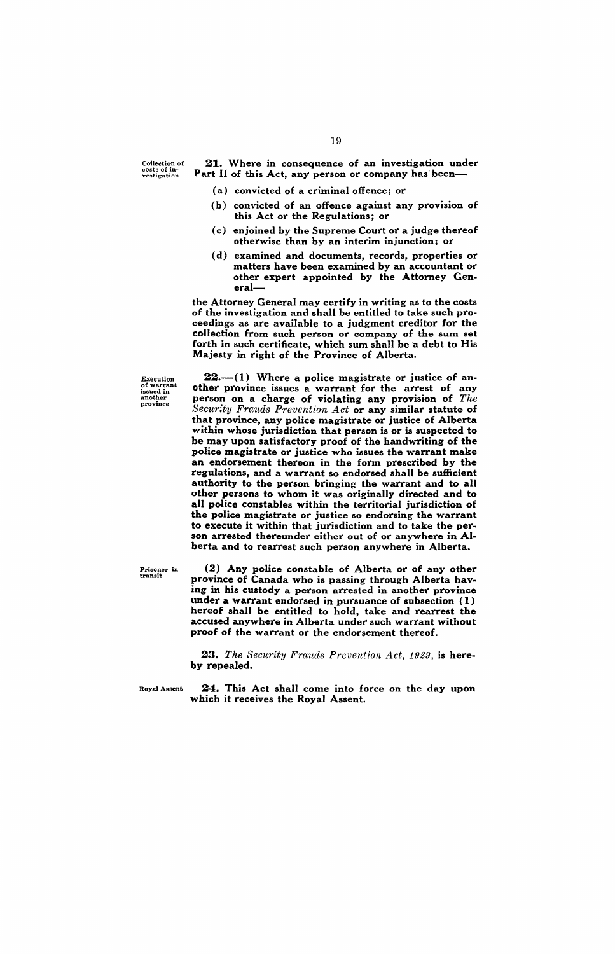Collection of<br>costs of in-<br>vestigation

21. Where in consequence of an investigation under Part II of this Act, any person or company has been-

- (a) convicted of a criminal offence; or
- (b) convicted of an offence against any provision of this Act or the Regulations; or
- (c) enjoined by the Supreme Court or a judge thereof otherwise than by an interim injunction; or
- (d) examined and documents, records, properties or matters have been examined by an accountant or other expert appointed by the Attorney General-

the Attorney General may certify in writing as to the costs of the investigation and shall be entitled to take such proceedings as are available to a judgment creditor for the collection from such person or company of the sum set forth in such certificate, which sum shall be a debt to His Majesty in right of the Province of Alberta.

Execution<br>of warrant<br>issued in<br>another<br>province

 $22.-(1)$  Where a police magistrate or justice of another province issues a warrant for the arrest of any person on a charge of violating any provision of *The Security Frauds Prevention Act* or any similar statute of that province, any police magistrate or justice of Alberta within whose jurisdiction that person is or is suspected to be may upon satisfactory proof of the handwriting of the police magistrate or justice who issues the warrant make an endorsement thereon in the form prescribed by the regulations, and a warrant so endorsed shall be sufficient authority to the person bringing the warrant and to all other persons to whom it was originally directed and to all police constables within the territorial jurisdiction of the police magistrate or justice so endorsing the warrant to execute it within that jurisdiction and to take the person arrested thereunder either out of or anywhere in Alberta and to rearrest such person anywhere in Alberta.

Prisoner in transit

(2) Any police constable of Alberta or of any other province of Canada who is passing through Alberta having in his custody a person arrested in another province under a warrant endorsed in pursuance of subsection (1) hereof shall be entitled to hold, take and rearrest the accused anywhere in Alberta under such warrant without proof of the warrant or the endorsement thereof.

23. The Security Frauds Prevention Act, 1929, is hereby repealed.

Royal Assent 24. This Act shall come into force on the day upon which it receives the Royal Assent.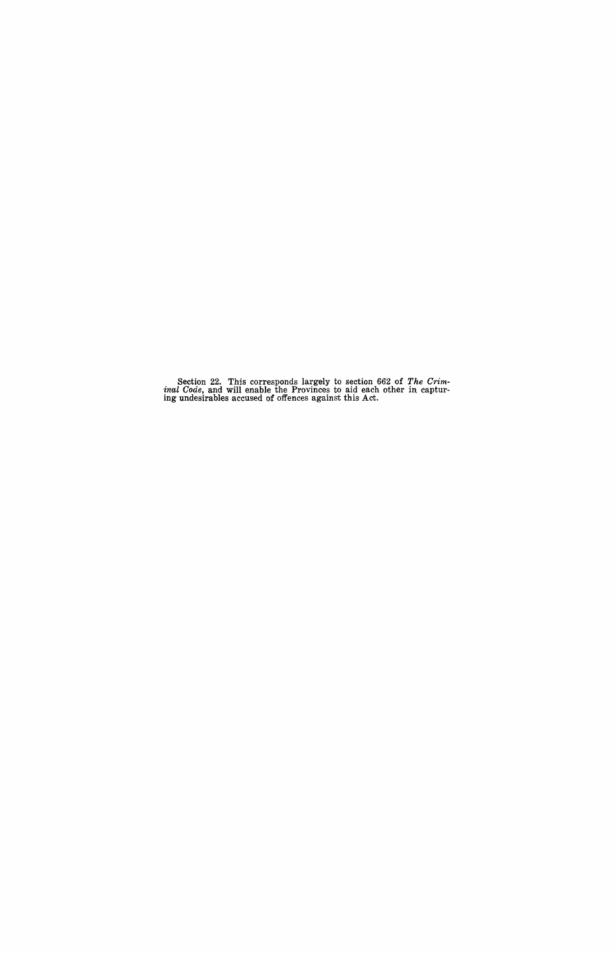Section 22. This corresponds largely to section 662 of *The Crim-*<br>*inal Code*, and will enable the Provinces to aid each other in captur-<br>ing undesirables accused of offences against this Act.